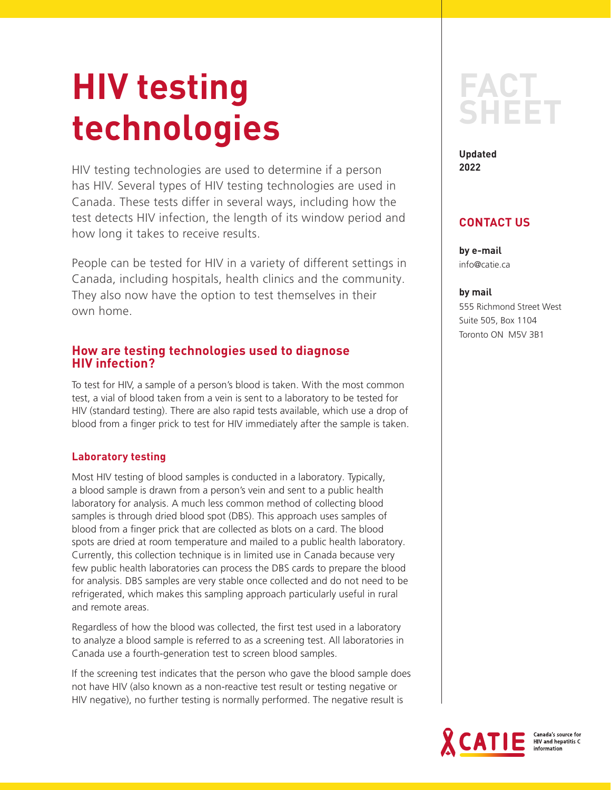# **HIV testing technologies**

HIV testing technologies are used to determine if a person has HIV. Several types of HIV testing technologies are used in Canada. These tests differ in several ways, including how the test detects HIV infection, the length of its window period and how long it takes to receive results.

People can be tested for HIV in a variety of different settings in Canada, including hospitals, health clinics and the community. They also now have the option to test themselves in their own home.

# **How are testing technologies used to diagnose HIV infection?**

To test for HIV, a sample of a person's blood is taken. With the most common test, a vial of blood taken from a vein is sent to a laboratory to be tested for HIV (standard testing). There are also rapid tests available, which use a drop of blood from a finger prick to test for HIV immediately after the sample is taken.

## **Laboratory testing**

Most HIV testing of blood samples is conducted in a laboratory. Typically, a blood sample is drawn from a person's vein and sent to a public health laboratory for analysis. A much less common method of collecting blood samples is through dried blood spot (DBS). This approach uses samples of blood from a finger prick that are collected as blots on a card. The blood spots are dried at room temperature and mailed to a public health laboratory. Currently, this collection technique is in limited use in Canada because very few public health laboratories can process the DBS cards to prepare the blood for analysis. DBS samples are very stable once collected and do not need to be refrigerated, which makes this sampling approach particularly useful in rural and remote areas.

Regardless of how the blood was collected, the first test used in a laboratory to analyze a blood sample is referred to as a screening test. All laboratories in Canada use a fourth-generation test to screen blood samples.

If the screening test indicates that the person who gave the blood sample does not have HIV (also known as a non-reactive test result or testing negative or HIV negative), no further testing is normally performed. The negative result is

# **FACT SHEET**

**Updated 2022**

# **CONTACT US**

**by e-mail** info@catie.ca

#### **by mail**

555 Richmond Street West Suite 505, Box 1104 Toronto ON M5V 3B1

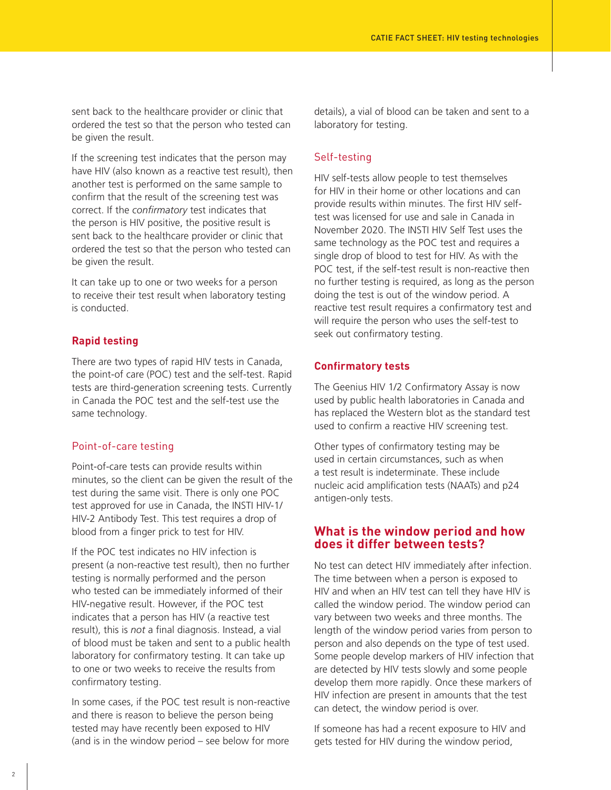sent back to the healthcare provider or clinic that ordered the test so that the person who tested can be given the result.

If the screening test indicates that the person may have HIV (also known as a reactive test result), then another test is performed on the same sample to confirm that the result of the screening test was correct. If the *confirmatory* test indicates that the person is HIV positive, the positive result is sent back to the healthcare provider or clinic that ordered the test so that the person who tested can be given the result.

It can take up to one or two weeks for a person to receive their test result when laboratory testing is conducted.

#### **Rapid testing**

There are two types of rapid HIV tests in Canada, the point-of care (POC) test and the self-test. Rapid tests are third-generation screening tests. Currently in Canada the POC test and the self-test use the same technology.

#### Point-of-care testing

Point-of-care tests can provide results within minutes, so the client can be given the result of the test during the same visit. There is only one POC test approved for use in Canada, the INSTI HIV-1/ HIV-2 Antibody Test. This test requires a drop of blood from a finger prick to test for HIV.

If the POC test indicates no HIV infection is present (a non-reactive test result), then no further testing is normally performed and the person who tested can be immediately informed of their HIV-negative result. However, if the POC test indicates that a person has HIV (a reactive test result), this is *not* a final diagnosis. Instead, a vial of blood must be taken and sent to a public health laboratory for confirmatory testing. It can take up to one or two weeks to receive the results from confirmatory testing.

In some cases, if the POC test result is non-reactive and there is reason to believe the person being tested may have recently been exposed to HIV (and is in the window period – see below for more

details), a vial of blood can be taken and sent to a laboratory for testing.

#### Self-testing

HIV self-tests allow people to test themselves for HIV in their home or other locations and can provide results within minutes. The first HIV selftest was licensed for use and sale in Canada in November 2020. The INSTI HIV Self Test uses the same technology as the POC test and requires a single drop of blood to test for HIV. As with the POC test, if the self-test result is non-reactive then no further testing is required, as long as the person doing the test is out of the window period. A reactive test result requires a confirmatory test and will require the person who uses the self-test to seek out confirmatory testing.

#### **Confirmatory tests**

The Geenius HIV 1/2 Confirmatory Assay is now used by public health laboratories in Canada and has replaced the Western blot as the standard test used to confirm a reactive HIV screening test.

Other types of confirmatory testing may be used in certain circumstances, such as when a test result is indeterminate. These include nucleic acid amplification tests (NAATs) and p24 antigen-only tests.

#### **What is the window period and how does it differ between tests?**

No test can detect HIV immediately after infection. The time between when a person is exposed to HIV and when an HIV test can tell they have HIV is called the window period. The window period can vary between two weeks and three months. The length of the window period varies from person to person and also depends on the type of test used. Some people develop markers of HIV infection that are detected by HIV tests slowly and some people develop them more rapidly. Once these markers of HIV infection are present in amounts that the test can detect, the window period is over.

If someone has had a recent exposure to HIV and gets tested for HIV during the window period,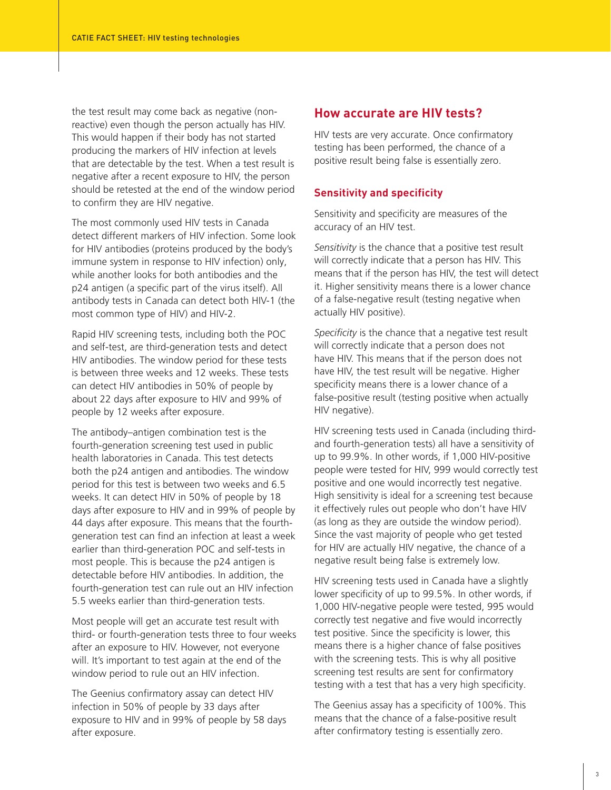the test result may come back as negative (nonreactive) even though the person actually has HIV. This would happen if their body has not started producing the markers of HIV infection at levels that are detectable by the test. When a test result is negative after a recent exposure to HIV, the person should be retested at the end of the window period to confirm they are HIV negative.

The most commonly used HIV tests in Canada detect different markers of HIV infection. Some look for HIV antibodies (proteins produced by the body's immune system in response to HIV infection) only, while another looks for both antibodies and the p24 antigen (a specific part of the virus itself). All antibody tests in Canada can detect both HIV-1 (the most common type of HIV) and HIV-2.

Rapid HIV screening tests, including both the POC and self-test, are third-generation tests and detect HIV antibodies. The window period for these tests is between three weeks and 12 weeks. These tests can detect HIV antibodies in 50% of people by about 22 days after exposure to HIV and 99% of people by 12 weeks after exposure.

The antibody–antigen combination test is the fourth-generation screening test used in public health laboratories in Canada. This test detects both the p24 antigen and antibodies. The window period for this test is between two weeks and 6.5 weeks. It can detect HIV in 50% of people by 18 days after exposure to HIV and in 99% of people by 44 days after exposure. This means that the fourthgeneration test can find an infection at least a week earlier than third-generation POC and self-tests in most people. This is because the p24 antigen is detectable before HIV antibodies. In addition, the fourth-generation test can rule out an HIV infection 5.5 weeks earlier than third-generation tests.

Most people will get an accurate test result with third- or fourth-generation tests three to four weeks after an exposure to HIV. However, not everyone will. It's important to test again at the end of the window period to rule out an HIV infection.

The Geenius confirmatory assay can detect HIV infection in 50% of people by 33 days after exposure to HIV and in 99% of people by 58 days after exposure.

#### **How accurate are HIV tests?**

HIV tests are very accurate. Once confirmatory testing has been performed, the chance of a positive result being false is essentially zero.

#### **Sensitivity and specificity**

Sensitivity and specificity are measures of the accuracy of an HIV test.

*Sensitivity* is the chance that a positive test result will correctly indicate that a person has HIV. This means that if the person has HIV, the test will detect it. Higher sensitivity means there is a lower chance of a false-negative result (testing negative when actually HIV positive).

*Specificity* is the chance that a negative test result will correctly indicate that a person does not have HIV. This means that if the person does not have HIV, the test result will be negative. Higher specificity means there is a lower chance of a false-positive result (testing positive when actually HIV negative).

HIV screening tests used in Canada (including thirdand fourth-generation tests) all have a sensitivity of up to 99.9%. In other words, if 1,000 HIV-positive people were tested for HIV, 999 would correctly test positive and one would incorrectly test negative. High sensitivity is ideal for a screening test because it effectively rules out people who don't have HIV (as long as they are outside the window period). Since the vast majority of people who get tested for HIV are actually HIV negative, the chance of a negative result being false is extremely low.

HIV screening tests used in Canada have a slightly lower specificity of up to 99.5%. In other words, if 1,000 HIV-negative people were tested, 995 would correctly test negative and five would incorrectly test positive. Since the specificity is lower, this means there is a higher chance of false positives with the screening tests. This is why all positive screening test results are sent for confirmatory testing with a test that has a very high specificity.

The Geenius assay has a specificity of 100%. This means that the chance of a false-positive result after confirmatory testing is essentially zero.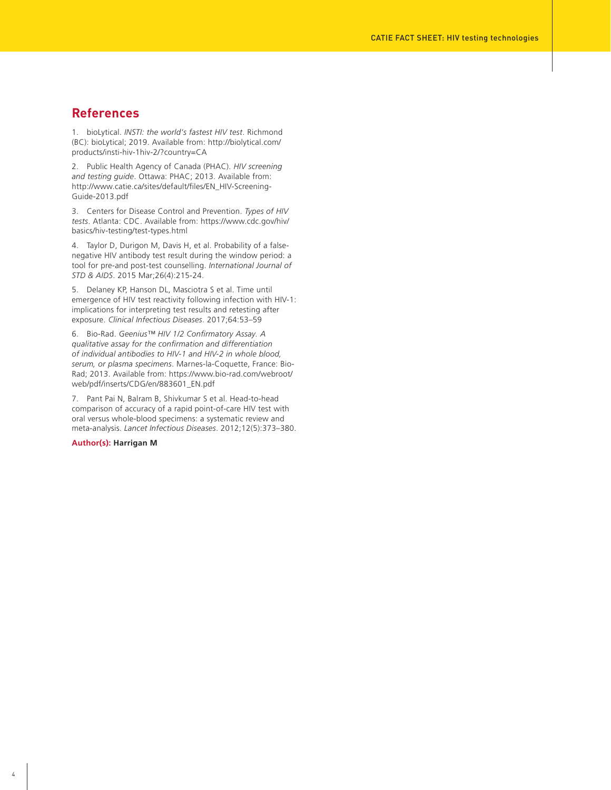#### **References**

1. bioLytical. *INSTI: the world's fastest HIV test*. Richmond (BC): bioLytical; 2019. Available from: http://biolytical.com/ products/insti-hiv-1hiv-2/?country=CA

2. Public Health Agency of Canada (PHAC). *HIV screening and testing guide*. Ottawa: PHAC; 2013. Available from: http://www.catie.ca/sites/default/files/EN\_HIV-Screening-Guide-2013.pdf

3. Centers for Disease Control and Prevention. *Types of HIV tests*. Atlanta: CDC. Available from: https://www.cdc.gov/hiv/ basics/hiv-testing/test-types.html

4. Taylor D, Durigon M, Davis H, et al. Probability of a falsenegative HIV antibody test result during the window period: a tool for pre-and post-test counselling. *International Journal of STD & AIDS*. 2015 Mar;26(4):215-24.

5. Delaney KP, Hanson DL, Masciotra S et al. Time until emergence of HIV test reactivity following infection with HIV-1: implications for interpreting test results and retesting after exposure. *Clinical Infectious Diseases*. 2017;64:53–59

6. Bio-Rad. *Geenius™ HIV 1/2 Confirmatory Assay. A qualitative assay for the confirmation and differentiation of individual antibodies to HIV-1 and HIV-2 in whole blood, serum, or plasma specimens*. Marnes-la-Coquette, France: Bio-Rad; 2013. Available from: https://www.bio-rad.com/webroot/ web/pdf/inserts/CDG/en/883601\_EN.pdf

7. Pant Pai N, Balram B, Shivkumar S et al. Head-to-head comparison of accuracy of a rapid point-of-care HIV test with oral versus whole-blood specimens: a systematic review and meta-analysis. *Lancet Infectious Diseases*. 2012;12(5):373–380.

#### **Author(s): Harrigan M**